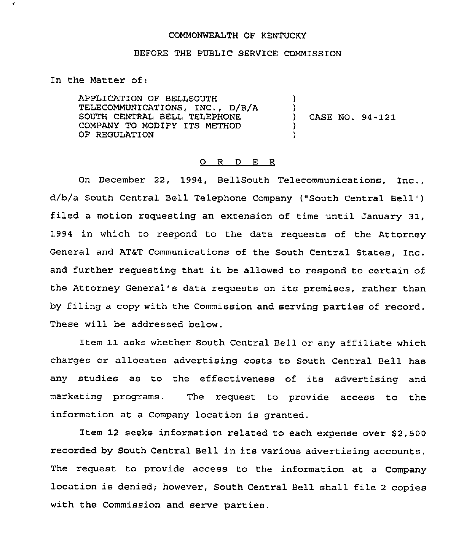## COMMONWEALTH OF KENTUCKY

## BEFORE THE PUBLIC SERVICE COMMISSION

In the Matter of:

 $\bullet$ 

APPLICATION OF BELLSOUTH TELECOMMUNICATIONS, INC., D/B/A SOUTH CENTRAL BELL TELEPHONE COMPANY TO MODIFY ITS METHOD OF REGULATION ) ) ) CASE NO. 94-121 ) )

## 0 R <sup>D</sup> E R

On December 22, 1994, BellSouth Telecommunications, Inc., d/b/a South Central Bell Telephone Company {"South Central Bell" ) filed a motion requesting an extension of time until January 31, 1994 in which to respond to the data requests of the Attorney General and AT&T Communications of the South Central States, Inc. and further requesting that it be allowed to respond to certain of the Attorney General's data requests on its premises, rather than by filing a copy with the Commission and serving parties of record. These will be addressed below.

Item 11 asks whether South Central Bell or any affiliate which charges or allocates advertising costs to South Central Bell has any studies as to the effectiveness of its advertising and marketing programs. The request to provide access to the information at a Company location is granted.

Item 12 seeks information related to each expense over S2,500 recorded by South Central Bell in its various advertising accounts. The request to provide access to the information at a Company location is denied; however, South Central Bell shall file <sup>2</sup> copies with the Commission and serve parties.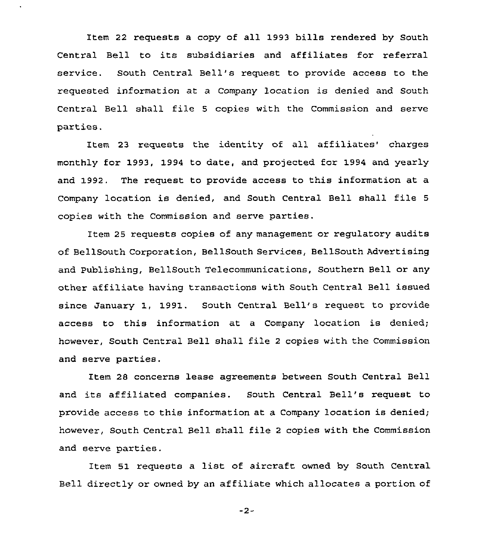Item 22 requests a copy of all 1993 bills rendered by South Central Bell to its subsidiaries and affiliates for referral service. South Central Bell's request to provide access to the requested information at a Company location is denied and South Central Bell shall file <sup>5</sup> copies with the Commission and serve parties.

Item 23 requests the identity of all affiliates' charges monthly for 1993, 1994 to date, and projected for 1994 and yearly and 1992. The request to provide access to this information at a company location is denied, and South central Bell shall file <sup>5</sup> copies with the Commission and serve parties.

Item 25 requests copies of any management or regulatory audits of BellSouth Corporation, BellSouth Services, BellSouth Advertising and Publishing, BellSouth Telecommunications, Southern Bell or any other affiliate having transactions with South Central Bell issued since January 1, 1991. South Central Bell's request to provide access to this information at <sup>a</sup> Company location is denied; however, South Central Bell shall file <sup>2</sup> copies with the Commission and serve parties.

Item 28 concerns lease agreements between South Central Bell and its affiliated companies. South Central Bell's request to provide access to this information at a Company location is denied; however, South Central Bell shall file <sup>2</sup> copies with the Commission and serve parties.

Item 51 requests <sup>a</sup> list of aircraft owned by South Central Bell directly or owned by an affiliate which allocates a portion of

 $-2-$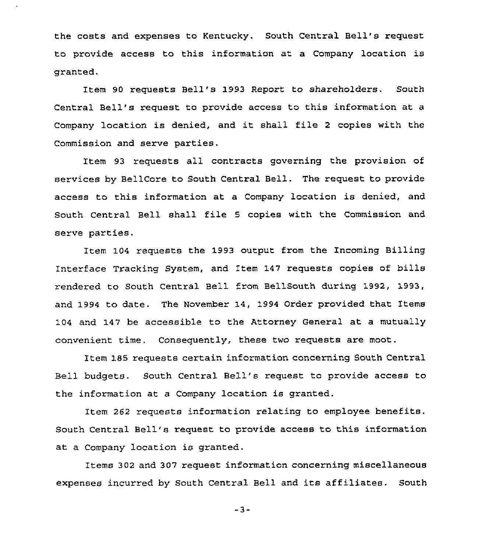the costs and expenses to Kentucky. South Central Bell's request to provide access to this information at a Company location is granted.

Item 90 requests Bell's 1993 Report to shareholders. South Central Bell's request to provide access to this information at a Company location is denied, and it shall file <sup>2</sup> copies with the Commission and serve parties.

Item 93 requests all contracts governing the provision of services by BellCore to South Central Bell. The request to provide access to this information at a Company location is denied, and South Central Bell shall file <sup>5</sup> copies with the Commission and serve parties.

Item 104 requests the 1993 output from the Incoming Billing Interface Tracking System, and Item 147 requests copies of bills rendered to South Central Bell from BellSouth during 1992, 1993, and 1994 to date. The November 14, 1994 Order provided that Items 104 and 147 be accessible to the Attorney General at a mutually convenient time. Consequently, these two requests are moot.

Item 185 requests certain information concerning South Central Bell budgets. South Central Bell's request to provide access to the information at a Company location is granted.

Item 262 requests information relating to employee benefits. South Central Bell's request to provide access to this information at a Company location is granted.

Items 302 and 307 request information concerning miscellaneous expenses incurred by South Central Bell and its affiliates. South

-3-